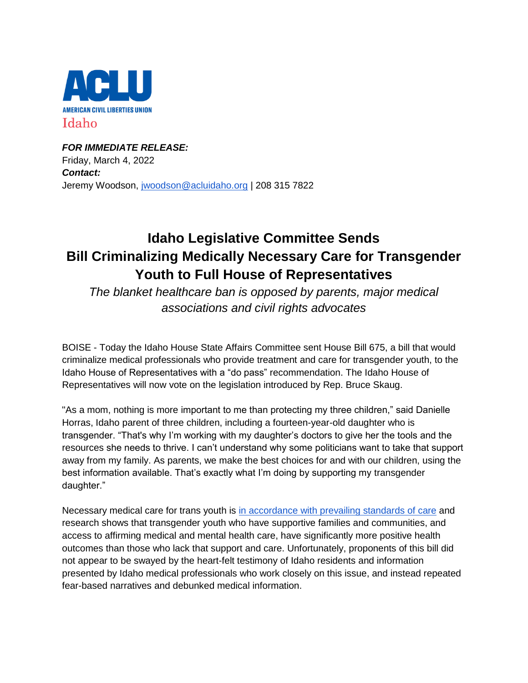

*FOR IMMEDIATE RELEASE:* Friday, March 4, 2022 *Contact:* Jeremy Woodson, [jwoodson@acluidaho.org](mailto:jwoodson@acluidaho.org) | 208 315 7822

## **Idaho Legislative Committee Sends Bill Criminalizing Medically Necessary Care for Transgender Youth to Full House of Representatives**

*The blanket healthcare ban is opposed by parents, major medical associations and civil rights advocates*

BOISE - Today the Idaho House State Affairs Committee sent House Bill 675, a bill that would criminalize medical professionals who provide treatment and care for transgender youth, to the Idaho House of Representatives with a "do pass" recommendation. The Idaho House of Representatives will now vote on the legislation introduced by Rep. Bruce Skaug.

"As a mom, nothing is more important to me than protecting my three children," said Danielle Horras, Idaho parent of three children, including a fourteen-year-old daughter who is transgender. "That's why I'm working with my daughter's doctors to give her the tools and the resources she needs to thrive. I can't understand why some politicians want to take that support away from my family. As parents, we make the best choices for and with our children, using the best information available. That's exactly what I'm doing by supporting my transgender daughter."

Necessary medical care for trans youth is [in accordance with prevailing standards of care](https://www.aclu.org/news/lgbtq-rights/five-things-to-know-about-gender-affirming-health-care/) and research shows that transgender youth who have supportive families and communities, and access to affirming medical and mental health care, have significantly more positive health outcomes than those who lack that support and care. Unfortunately, proponents of this bill did not appear to be swayed by the heart-felt testimony of Idaho residents and information presented by Idaho medical professionals who work closely on this issue, and instead repeated fear-based narratives and debunked medical information.